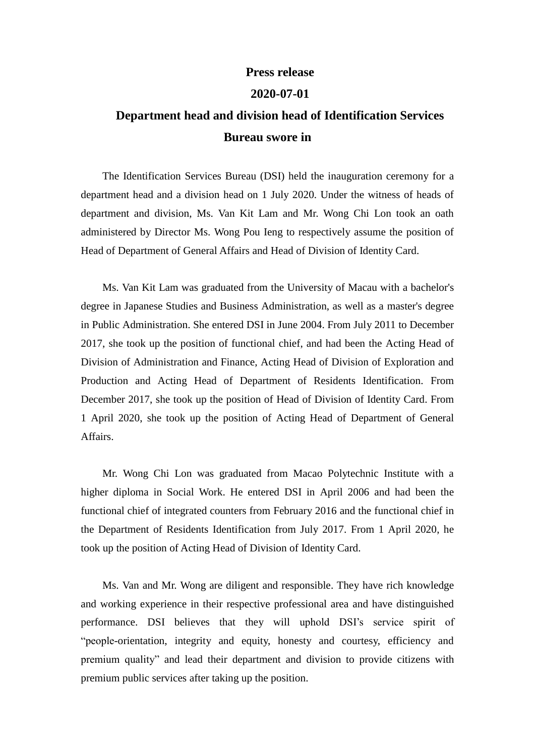## **Press release**

## **2020-07-01**

## **Department head and division head of Identification Services Bureau swore in**

The Identification Services Bureau (DSI) held the inauguration ceremony for a department head and a division head on 1 July 2020. Under the witness of heads of department and division, Ms. Van Kit Lam and Mr. Wong Chi Lon took an oath administered by Director Ms. Wong Pou Ieng to respectively assume the position of Head of Department of General Affairs and Head of Division of Identity Card.

Ms. Van Kit Lam was graduated from the University of Macau with a bachelor's degree in Japanese Studies and Business Administration, as well as a master's degree in Public Administration. She entered DSI in June 2004. From July 2011 to December 2017, she took up the position of functional chief, and had been the Acting Head of Division of Administration and Finance, Acting Head of Division of Exploration and Production and Acting Head of Department of Residents Identification. From December 2017, she took up the position of Head of Division of Identity Card. From 1 April 2020, she took up the position of Acting Head of Department of General Affairs.

Mr. Wong Chi Lon was graduated from Macao Polytechnic Institute with a higher diploma in Social Work. He entered DSI in April 2006 and had been the functional chief of integrated counters from February 2016 and the functional chief in the Department of Residents Identification from July 2017. From 1 April 2020, he took up the position of Acting Head of Division of Identity Card.

Ms. Van and Mr. Wong are diligent and responsible. They have rich knowledge and working experience in their respective professional area and have distinguished performance. DSI believes that they will uphold DSI's service spirit of "people-orientation, integrity and equity, honesty and courtesy, efficiency and premium quality" and lead their department and division to provide citizens with premium public services after taking up the position.